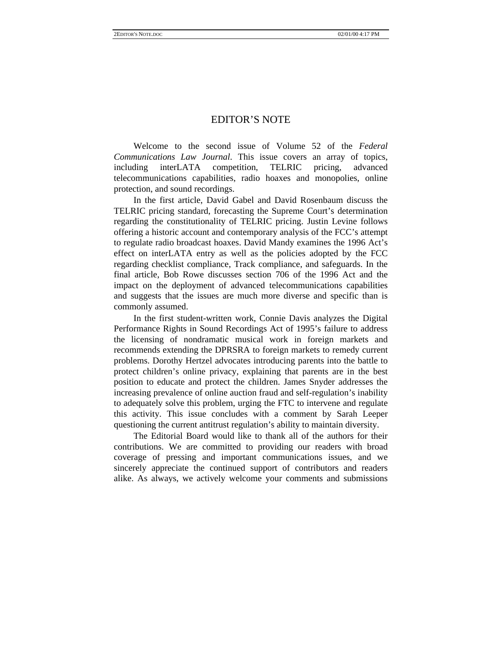## EDITOR'S NOTE

Welcome to the second issue of Volume 52 of the *Federal Communications Law Journal*. This issue covers an array of topics, including interLATA competition, TELRIC pricing, advanced telecommunications capabilities, radio hoaxes and monopolies, online protection, and sound recordings.

In the first article, David Gabel and David Rosenbaum discuss the TELRIC pricing standard, forecasting the Supreme Court's determination regarding the constitutionality of TELRIC pricing. Justin Levine follows offering a historic account and contemporary analysis of the FCC's attempt to regulate radio broadcast hoaxes. David Mandy examines the 1996 Act's effect on interLATA entry as well as the policies adopted by the FCC regarding checklist compliance, Track compliance, and safeguards. In the final article, Bob Rowe discusses section 706 of the 1996 Act and the impact on the deployment of advanced telecommunications capabilities and suggests that the issues are much more diverse and specific than is commonly assumed.

In the first student-written work, Connie Davis analyzes the Digital Performance Rights in Sound Recordings Act of 1995's failure to address the licensing of nondramatic musical work in foreign markets and recommends extending the DPRSRA to foreign markets to remedy current problems. Dorothy Hertzel advocates introducing parents into the battle to protect children's online privacy, explaining that parents are in the best position to educate and protect the children. James Snyder addresses the increasing prevalence of online auction fraud and self-regulation's inability to adequately solve this problem, urging the FTC to intervene and regulate this activity. This issue concludes with a comment by Sarah Leeper questioning the current antitrust regulation's ability to maintain diversity.

The Editorial Board would like to thank all of the authors for their contributions. We are committed to providing our readers with broad coverage of pressing and important communications issues, and we sincerely appreciate the continued support of contributors and readers alike. As always, we actively welcome your comments and submissions